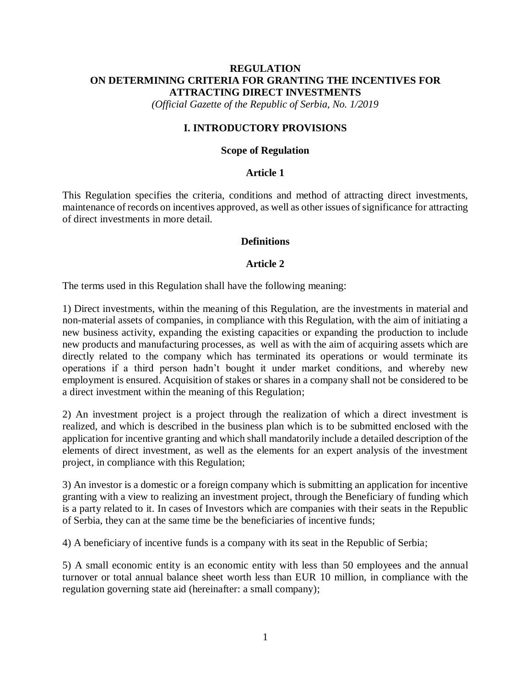# **REGULATION ON DETERMINING CRITERIA FOR GRANTING THE INCENTIVES FOR ATTRACTING DIRECT INVESTMENTS**

*(Official Gazette of the Republic of Serbia, No. 1/2019*

## **I. INTRODUCTORY PROVISIONS**

#### **Scope of Regulation**

#### **Article 1**

This Regulation specifies the criteria, conditions and method of attracting direct investments, maintenance of records on incentives approved, as well as other issues of significance for attracting of direct investments in more detail.

#### **Definitions**

#### **Article 2**

The terms used in this Regulation shall have the following meaning:

1) Direct investments, within the meaning of this Regulation, are the investments in material and non-material assets of companies, in compliance with this Regulation, with the aim of initiating a new business activity, expanding the existing capacities or expanding the production to include new products and manufacturing processes, as well as with the aim of acquiring assets which are directly related to the company which has terminated its operations or would terminate its operations if a third person hadn't bought it under market conditions, and whereby new employment is ensured. Acquisition of stakes or shares in a company shall not be considered to be a direct investment within the meaning of this Regulation;

2) An investment project is a project through the realization of which a direct investment is realized, and which is described in the business plan which is to be submitted enclosed with the application for incentive granting and which shall mandatorily include a detailed description of the elements of direct investment, as well as the elements for an expert analysis of the investment project, in compliance with this Regulation;

3) An investor is a domestic or a foreign company which is submitting an application for incentive granting with a view to realizing an investment project, through the Beneficiary of funding which is a party related to it. In cases of Investors which are companies with their seats in the Republic of Serbia, they can at the same time be the beneficiaries of incentive funds;

4) A beneficiary of incentive funds is a company with its seat in the Republic of Serbia;

5) A small economic entity is an economic entity with less than 50 employees and the annual turnover or total annual balance sheet worth less than EUR 10 million, in compliance with the regulation governing state aid (hereinafter: a small company);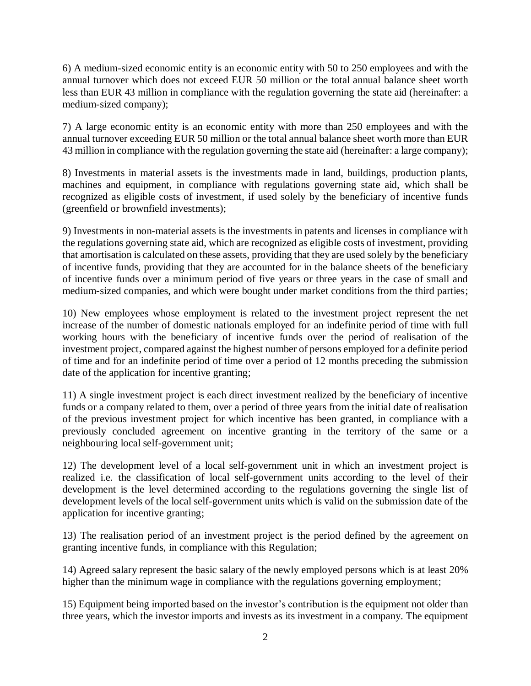6) A medium-sized economic entity is an economic entity with 50 to 250 employees and with the annual turnover which does not exceed EUR 50 million or the total annual balance sheet worth less than EUR 43 million in compliance with the regulation governing the state aid (hereinafter: a medium-sized company);

7) A large economic entity is an economic entity with more than 250 employees and with the annual turnover exceeding EUR 50 million or the total annual balance sheet worth more than EUR 43 million in compliance with the regulation governing the state aid (hereinafter: a large company);

8) Investments in material assets is the investments made in land, buildings, production plants, machines and equipment, in compliance with regulations governing state aid, which shall be recognized as eligible costs of investment, if used solely by the beneficiary of incentive funds (greenfield or brownfield investments);

9) Investments in non-material assets is the investments in patents and licenses in compliance with the regulations governing state aid, which are recognized as eligible costs of investment, providing that amortisation is calculated on these assets, providing that they are used solely by the beneficiary of incentive funds, providing that they are accounted for in the balance sheets of the beneficiary of incentive funds over a minimum period of five years or three years in the case of small and medium-sized companies, and which were bought under market conditions from the third parties;

10) New employees whose employment is related to the investment project represent the net increase of the number of domestic nationals employed for an indefinite period of time with full working hours with the beneficiary of incentive funds over the period of realisation of the investment project, compared against the highest number of persons employed for a definite period of time and for an indefinite period of time over a period of 12 months preceding the submission date of the application for incentive granting;

11) A single investment project is each direct investment realized by the beneficiary of incentive funds or a company related to them, over a period of three years from the initial date of realisation of the previous investment project for which incentive has been granted, in compliance with a previously concluded agreement on incentive granting in the territory of the same or a neighbouring local self-government unit;

12) The development level of a local self-government unit in which an investment project is realized i.e. the classification of local self-government units according to the level of their development is the level determined according to the regulations governing the single list of development levels of the local self-government units which is valid on the submission date of the application for incentive granting;

13) The realisation period of an investment project is the period defined by the agreement on granting incentive funds, in compliance with this Regulation;

14) Agreed salary represent the basic salary of the newly employed persons which is at least 20% higher than the minimum wage in compliance with the regulations governing employment;

15) Equipment being imported based on the investor's contribution is the equipment not older than three years, which the investor imports and invests as its investment in a company. The equipment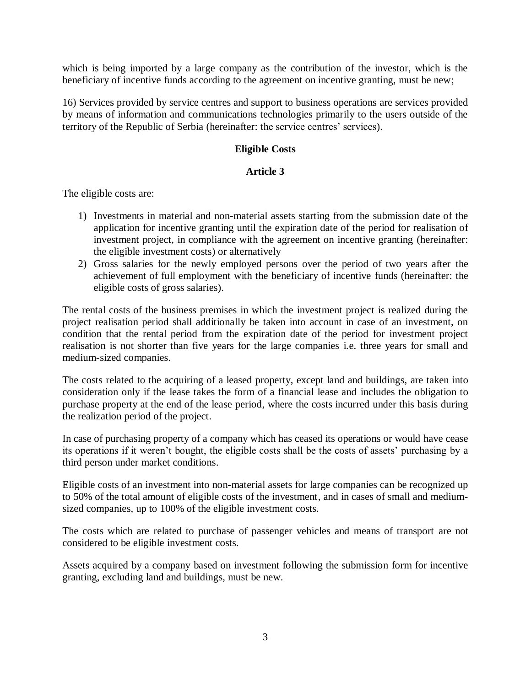which is being imported by a large company as the contribution of the investor, which is the beneficiary of incentive funds according to the agreement on incentive granting, must be new;

16) Services provided by service centres and support to business operations are services provided by means of information and communications technologies primarily to the users outside of the territory of the Republic of Serbia (hereinafter: the service centres' services).

## **Eligible Costs**

## **Article 3**

The eligible costs are:

- 1) Investments in material and non-material assets starting from the submission date of the application for incentive granting until the expiration date of the period for realisation of investment project, in compliance with the agreement on incentive granting (hereinafter: the eligible investment costs) or alternatively
- 2) Gross salaries for the newly employed persons over the period of two years after the achievement of full employment with the beneficiary of incentive funds (hereinafter: the eligible costs of gross salaries).

The rental costs of the business premises in which the investment project is realized during the project realisation period shall additionally be taken into account in case of an investment, on condition that the rental period from the expiration date of the period for investment project realisation is not shorter than five years for the large companies i.e. three years for small and medium-sized companies.

The costs related to the acquiring of a leased property, except land and buildings, are taken into consideration only if the lease takes the form of a financial lease and includes the obligation to purchase property at the end of the lease period, where the costs incurred under this basis during the realization period of the project.

In case of purchasing property of a company which has ceased its operations or would have cease its operations if it weren't bought, the eligible costs shall be the costs of assets' purchasing by a third person under market conditions.

Eligible costs of an investment into non-material assets for large companies can be recognized up to 50% of the total amount of eligible costs of the investment, and in cases of small and mediumsized companies, up to 100% of the eligible investment costs.

The costs which are related to purchase of passenger vehicles and means of transport are not considered to be eligible investment costs.

Assets acquired by a company based on investment following the submission form for incentive granting, excluding land and buildings, must be new.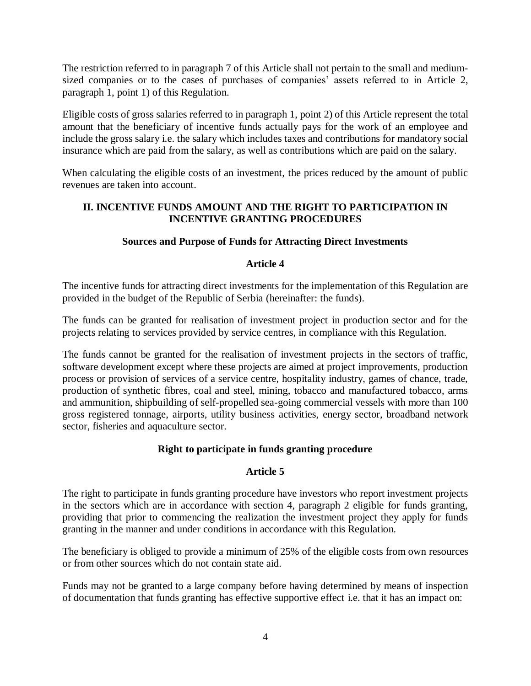The restriction referred to in paragraph 7 of this Article shall not pertain to the small and mediumsized companies or to the cases of purchases of companies' assets referred to in Article 2, paragraph 1, point 1) of this Regulation.

Eligible costs of gross salaries referred to in paragraph 1, point 2) of this Article represent the total amount that the beneficiary of incentive funds actually pays for the work of an employee and include the gross salary i.e. the salary which includes taxes and contributions for mandatory social insurance which are paid from the salary, as well as contributions which are paid on the salary.

When calculating the eligible costs of an investment, the prices reduced by the amount of public revenues are taken into account.

# **II. INCENTIVE FUNDS AMOUNT AND THE RIGHT TO PARTICIPATION IN INCENTIVE GRANTING PROCEDURES**

# **Sources and Purpose of Funds for Attracting Direct Investments**

# **Article 4**

The incentive funds for attracting direct investments for the implementation of this Regulation are provided in the budget of the Republic of Serbia (hereinafter: the funds).

The funds can be granted for realisation of investment project in production sector and for the projects relating to services provided by service centres, in compliance with this Regulation.

The funds cannot be granted for the realisation of investment projects in the sectors of traffic, software development except where these projects are aimed at project improvements, production process or provision of services of a service centre, hospitality industry, games of chance, trade, production of synthetic fibres, coal and steel, mining, tobacco and manufactured tobacco, arms and ammunition, shipbuilding of self-propelled sea-going commercial vessels with more than 100 gross registered tonnage, airports, utility business activities, energy sector, broadband network sector, fisheries and aquaculture sector.

# **Right to participate in funds granting procedure**

# **Article 5**

The right to participate in funds granting procedure have investors who report investment projects in the sectors which are in accordance with section 4, paragraph 2 eligible for funds granting, providing that prior to commencing the realization the investment project they apply for funds granting in the manner and under conditions in accordance with this Regulation.

The beneficiary is obliged to provide a minimum of 25% of the eligible costs from own resources or from other sources which do not contain state aid.

Funds may not be granted to a large company before having determined by means of inspection of documentation that funds granting has effective supportive effect i.e. that it has an impact on: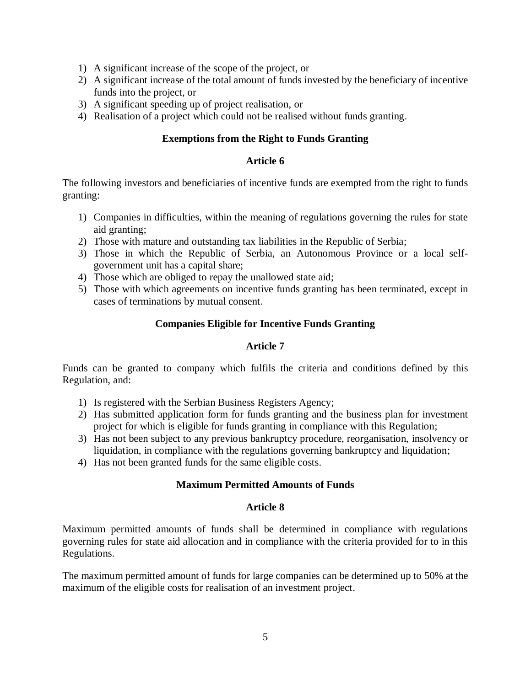- 1) A significant increase of the scope of the project, or
- 2) A significant increase of the total amount of funds invested by the beneficiary of incentive funds into the project, or
- 3) A significant speeding up of project realisation, or
- 4) Realisation of a project which could not be realised without funds granting.

## **Exemptions from the Right to Funds Granting**

## **Article 6**

The following investors and beneficiaries of incentive funds are exempted from the right to funds granting:

- 1) Companies in difficulties, within the meaning of regulations governing the rules for state aid granting;
- 2) Those with mature and outstanding tax liabilities in the Republic of Serbia;
- 3) Those in which the Republic of Serbia, an Autonomous Province or a local selfgovernment unit has a capital share;
- 4) Those which are obliged to repay the unallowed state aid;
- 5) Those with which agreements on incentive funds granting has been terminated, except in cases of terminations by mutual consent.

# **Companies Eligible for Incentive Funds Granting**

## **Article 7**

Funds can be granted to company which fulfils the criteria and conditions defined by this Regulation, and:

- 1) Is registered with the Serbian Business Registers Agency;
- 2) Has submitted application form for funds granting and the business plan for investment project for which is eligible for funds granting in compliance with this Regulation;
- 3) Has not been subject to any previous bankruptcy procedure, reorganisation, insolvency or liquidation, in compliance with the regulations governing bankruptcy and liquidation;
- 4) Has not been granted funds for the same eligible costs.

## **Maximum Permitted Amounts of Funds**

## **Article 8**

Maximum permitted amounts of funds shall be determined in compliance with regulations governing rules for state aid allocation and in compliance with the criteria provided for to in this Regulations.

The maximum permitted amount of funds for large companies can be determined up to 50% at the maximum of the eligible costs for realisation of an investment project.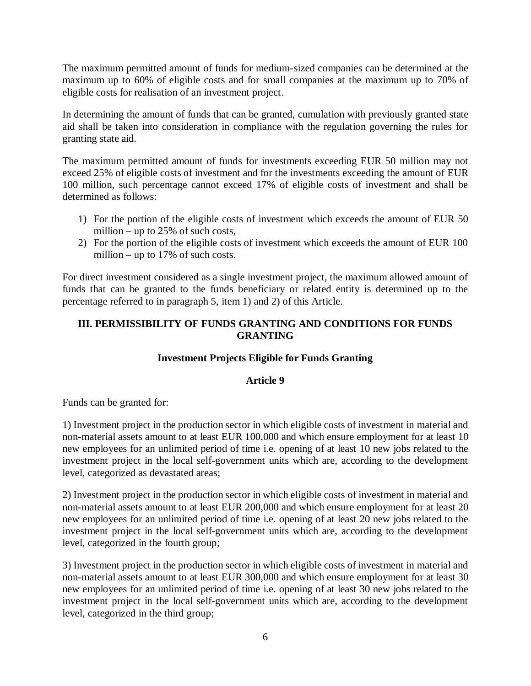The maximum permitted amount of funds for medium-sized companies can be determined at the maximum up to 60% of eligible costs and for small companies at the maximum up to 70% of eligible costs for realisation of an investment project.

In determining the amount of funds that can be granted, cumulation with previously granted state aid shall be taken into consideration in compliance with the regulation governing the rules for granting state aid.

The maximum permitted amount of funds for investments exceeding EUR 50 million may not exceed 25% of eligible costs of investment and for the investments exceeding the amount of EUR 100 million, such percentage cannot exceed 17% of eligible costs of investment and shall be determined as follows:

- 1) For the portion of the eligible costs of investment which exceeds the amount of EUR 50 million – up to  $25\%$  of such costs,
- 2) For the portion of the eligible costs of investment which exceeds the amount of EUR 100 million – up to 17% of such costs.

For direct investment considered as a single investment project, the maximum allowed amount of funds that can be granted to the funds beneficiary or related entity is determined up to the percentage referred to in paragraph 5, item 1) and 2) of this Article.

# **III. PERMISSIBILITY OF FUNDS GRANTING AND CONDITIONS FOR FUNDS GRANTING**

# **Investment Projects Eligible for Funds Granting**

# **Article 9**

Funds can be granted for:

1) Investment project in the production sector in which eligible costs of investment in material and non-material assets amount to at least EUR 100,000 and which ensure employment for at least 10 new employees for an unlimited period of time i.e. opening of at least 10 new jobs related to the investment project in the local self-government units which are, according to the development level, categorized as devastated areas;

2) Investment project in the production sector in which eligible costs of investment in material and non-material assets amount to at least EUR 200,000 and which ensure employment for at least 20 new employees for an unlimited period of time i.e. opening of at least 20 new jobs related to the investment project in the local self-government units which are, according to the development level, categorized in the fourth group;

3) Investment project in the production sector in which eligible costs of investment in material and non-material assets amount to at least EUR 300,000 and which ensure employment for at least 30 new employees for an unlimited period of time i.e. opening of at least 30 new jobs related to the investment project in the local self-government units which are, according to the development level, categorized in the third group;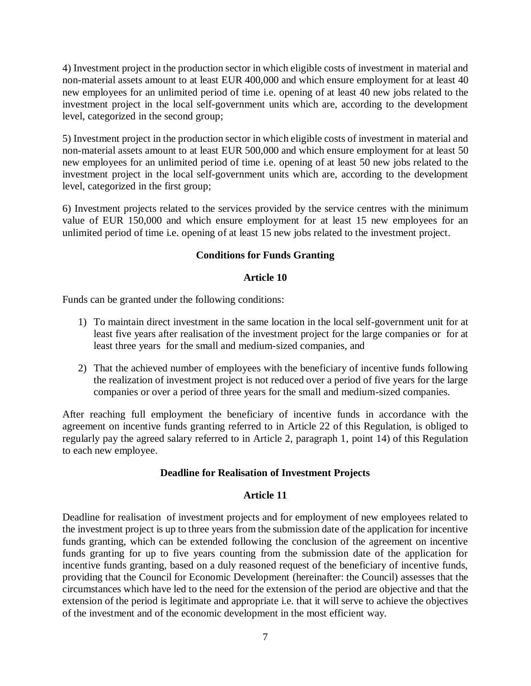4) Investment project in the production sector in which eligible costs of investment in material and non-material assets amount to at least EUR 400,000 and which ensure employment for at least 40 new employees for an unlimited period of time i.e. opening of at least 40 new jobs related to the investment project in the local self-government units which are, according to the development level, categorized in the second group;

5) Investment project in the production sector in which eligible costs of investment in material and non-material assets amount to at least EUR 500,000 and which ensure employment for at least 50 new employees for an unlimited period of time i.e. opening of at least 50 new jobs related to the investment project in the local self-government units which are, according to the development level, categorized in the first group;

6) Investment projects related to the services provided by the service centres with the minimum value of EUR 150,000 and which ensure employment for at least 15 new employees for an unlimited period of time i.e. opening of at least 15 new jobs related to the investment project.

# **Conditions for Funds Granting**

# **Article 10**

Funds can be granted under the following conditions:

- 1) To maintain direct investment in the same location in the local self-government unit for at least five years after realisation of the investment project for the large companies or for at least three years for the small and medium-sized companies, and
- 2) That the achieved number of employees with the beneficiary of incentive funds following the realization of investment project is not reduced over a period of five years for the large companies or over a period of three years for the small and medium-sized companies.

After reaching full employment the beneficiary of incentive funds in accordance with the agreement on incentive funds granting referred to in Article 22 of this Regulation, is obliged to regularly pay the agreed salary referred to in Article 2, paragraph 1, point 14) of this Regulation to each new employee.

## **Deadline for Realisation of Investment Projects**

# **Article 11**

Deadline for realisation of investment projects and for employment of new employees related to the investment project is up to three years from the submission date of the application for incentive funds granting, which can be extended following the conclusion of the agreement on incentive funds granting for up to five years counting from the submission date of the application for incentive funds granting, based on a duly reasoned request of the beneficiary of incentive funds, providing that the Council for Economic Development (hereinafter: the Council) assesses that the circumstances which have led to the need for the extension of the period are objective and that the extension of the period is legitimate and appropriate i.e. that it will serve to achieve the objectives of the investment and of the economic development in the most efficient way.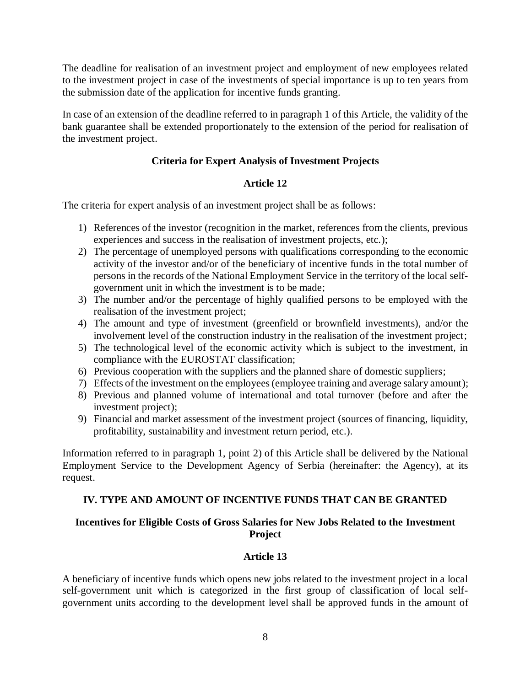The deadline for realisation of an investment project and employment of new employees related to the investment project in case of the investments of special importance is up to ten years from the submission date of the application for incentive funds granting.

In case of an extension of the deadline referred to in paragraph 1 of this Article, the validity of the bank guarantee shall be extended proportionately to the extension of the period for realisation of the investment project.

# **Criteria for Expert Analysis of Investment Projects**

# **Article 12**

The criteria for expert analysis of an investment project shall be as follows:

- 1) References of the investor (recognition in the market, references from the clients, previous experiences and success in the realisation of investment projects, etc.);
- 2) The percentage of unemployed persons with qualifications corresponding to the economic activity of the investor and/or of the beneficiary of incentive funds in the total number of persons in the records of the National Employment Service in the territory of the local selfgovernment unit in which the investment is to be made;
- 3) The number and/or the percentage of highly qualified persons to be employed with the realisation of the investment project;
- 4) The amount and type of investment (greenfield or brownfield investments), and/or the involvement level of the construction industry in the realisation of the investment project;
- 5) The technological level of the economic activity which is subject to the investment, in compliance with the EUROSTAT classification;
- 6) Previous cooperation with the suppliers and the planned share of domestic suppliers;
- 7) Effects of the investment on the employees (employee training and average salary amount);
- 8) Previous and planned volume of international and total turnover (before and after the investment project);
- 9) Financial and market assessment of the investment project (sources of financing, liquidity, profitability, sustainability and investment return period, etc.).

Information referred to in paragraph 1, point 2) of this Article shall be delivered by the National Employment Service to the Development Agency of Serbia (hereinafter: the Agency), at its request.

# **IV. TYPE AND AMOUNT OF INCENTIVE FUNDS THAT CAN BE GRANTED**

# **Incentives for Eligible Costs of Gross Salaries for New Jobs Related to the Investment Project**

# **Article 13**

A beneficiary of incentive funds which opens new jobs related to the investment project in a local self-government unit which is categorized in the first group of classification of local selfgovernment units according to the development level shall be approved funds in the amount of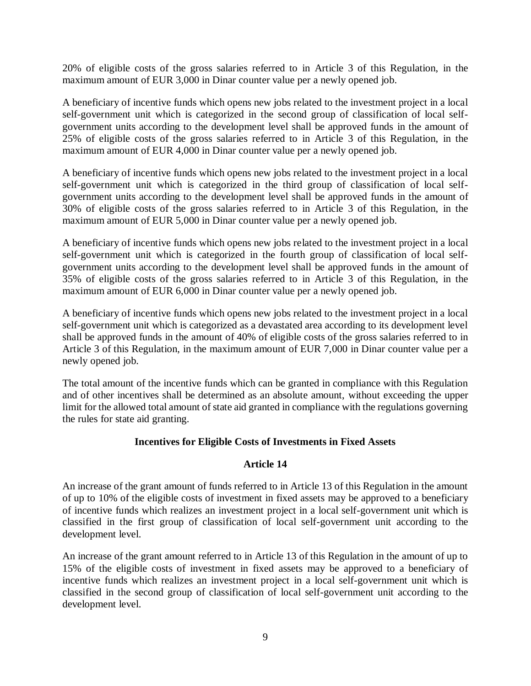20% of eligible costs of the gross salaries referred to in Article 3 of this Regulation, in the maximum amount of EUR 3,000 in Dinar counter value per a newly opened job.

A beneficiary of incentive funds which opens new jobs related to the investment project in a local self-government unit which is categorized in the second group of classification of local selfgovernment units according to the development level shall be approved funds in the amount of 25% of eligible costs of the gross salaries referred to in Article 3 of this Regulation, in the maximum amount of EUR 4,000 in Dinar counter value per a newly opened job.

A beneficiary of incentive funds which opens new jobs related to the investment project in a local self-government unit which is categorized in the third group of classification of local selfgovernment units according to the development level shall be approved funds in the amount of 30% of eligible costs of the gross salaries referred to in Article 3 of this Regulation, in the maximum amount of EUR 5,000 in Dinar counter value per a newly opened job.

A beneficiary of incentive funds which opens new jobs related to the investment project in a local self-government unit which is categorized in the fourth group of classification of local selfgovernment units according to the development level shall be approved funds in the amount of 35% of eligible costs of the gross salaries referred to in Article 3 of this Regulation, in the maximum amount of EUR 6,000 in Dinar counter value per a newly opened job.

A beneficiary of incentive funds which opens new jobs related to the investment project in a local self-government unit which is categorized as a devastated area according to its development level shall be approved funds in the amount of 40% of eligible costs of the gross salaries referred to in Article 3 of this Regulation, in the maximum amount of EUR 7,000 in Dinar counter value per a newly opened job.

The total amount of the incentive funds which can be granted in compliance with this Regulation and of other incentives shall be determined as an absolute amount, without exceeding the upper limit for the allowed total amount of state aid granted in compliance with the regulations governing the rules for state aid granting.

## **Incentives for Eligible Costs of Investments in Fixed Assets**

# **Article 14**

An increase of the grant amount of funds referred to in Article 13 of this Regulation in the amount of up to 10% of the eligible costs of investment in fixed assets may be approved to a beneficiary of incentive funds which realizes an investment project in a local self-government unit which is classified in the first group of classification of local self-government unit according to the development level.

An increase of the grant amount referred to in Article 13 of this Regulation in the amount of up to 15% of the eligible costs of investment in fixed assets may be approved to a beneficiary of incentive funds which realizes an investment project in a local self-government unit which is classified in the second group of classification of local self-government unit according to the development level.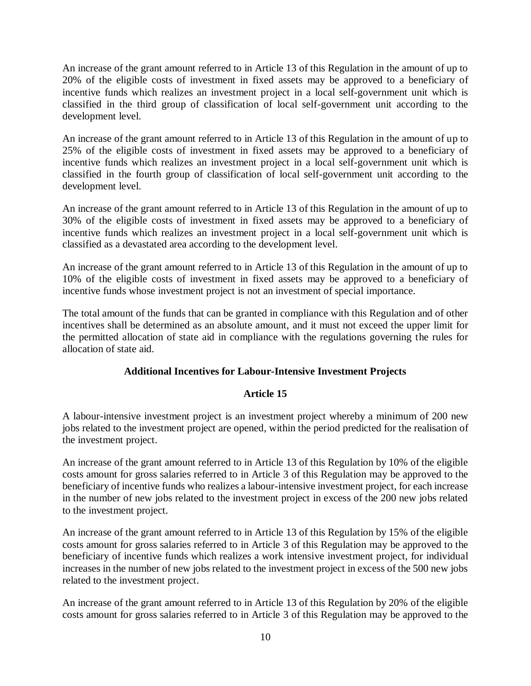An increase of the grant amount referred to in Article 13 of this Regulation in the amount of up to 20% of the eligible costs of investment in fixed assets may be approved to a beneficiary of incentive funds which realizes an investment project in a local self-government unit which is classified in the third group of classification of local self-government unit according to the development level.

An increase of the grant amount referred to in Article 13 of this Regulation in the amount of up to 25% of the eligible costs of investment in fixed assets may be approved to a beneficiary of incentive funds which realizes an investment project in a local self-government unit which is classified in the fourth group of classification of local self-government unit according to the development level.

An increase of the grant amount referred to in Article 13 of this Regulation in the amount of up to 30% of the eligible costs of investment in fixed assets may be approved to a beneficiary of incentive funds which realizes an investment project in a local self-government unit which is classified as a devastated area according to the development level.

An increase of the grant amount referred to in Article 13 of this Regulation in the amount of up to 10% of the eligible costs of investment in fixed assets may be approved to a beneficiary of incentive funds whose investment project is not an investment of special importance.

The total amount of the funds that can be granted in compliance with this Regulation and of other incentives shall be determined as an absolute amount, and it must not exceed the upper limit for the permitted allocation of state aid in compliance with the regulations governing the rules for allocation of state aid.

# **Additional Incentives for Labour-Intensive Investment Projects**

# **Article 15**

A labour-intensive investment project is an investment project whereby a minimum of 200 new jobs related to the investment project are opened, within the period predicted for the realisation of the investment project.

An increase of the grant amount referred to in Article 13 of this Regulation by 10% of the eligible costs amount for gross salaries referred to in Article 3 of this Regulation may be approved to the beneficiary of incentive funds who realizes a labour-intensive investment project, for each increase in the number of new jobs related to the investment project in excess of the 200 new jobs related to the investment project.

An increase of the grant amount referred to in Article 13 of this Regulation by 15% of the eligible costs amount for gross salaries referred to in Article 3 of this Regulation may be approved to the beneficiary of incentive funds which realizes a work intensive investment project, for individual increases in the number of new jobs related to the investment project in excess of the 500 new jobs related to the investment project.

An increase of the grant amount referred to in Article 13 of this Regulation by 20% of the eligible costs amount for gross salaries referred to in Article 3 of this Regulation may be approved to the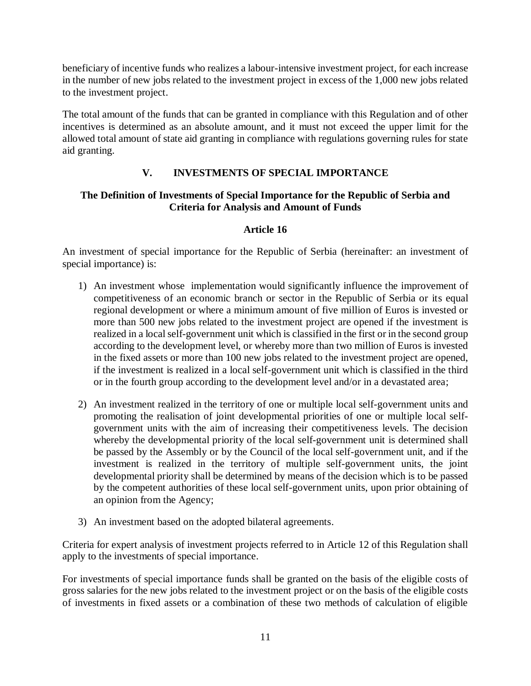beneficiary of incentive funds who realizes a labour-intensive investment project, for each increase in the number of new jobs related to the investment project in excess of the 1,000 new jobs related to the investment project.

The total amount of the funds that can be granted in compliance with this Regulation and of other incentives is determined as an absolute amount, and it must not exceed the upper limit for the allowed total amount of state aid granting in compliance with regulations governing rules for state aid granting.

# **V. INVESTMENTS OF SPECIAL IMPORTANCE**

# **The Definition of Investments of Special Importance for the Republic of Serbia and Criteria for Analysis and Amount of Funds**

# **Article 16**

An investment of special importance for the Republic of Serbia (hereinafter: an investment of special importance) is:

- 1) An investment whose implementation would significantly influence the improvement of competitiveness of an economic branch or sector in the Republic of Serbia or its equal regional development or where a minimum amount of five million of Euros is invested or more than 500 new jobs related to the investment project are opened if the investment is realized in a local self-government unit which is classified in the first or in the second group according to the development level, or whereby more than two million of Euros is invested in the fixed assets or more than 100 new jobs related to the investment project are opened, if the investment is realized in a local self-government unit which is classified in the third or in the fourth group according to the development level and/or in a devastated area;
- 2) An investment realized in the territory of one or multiple local self-government units and promoting the realisation of joint developmental priorities of one or multiple local selfgovernment units with the aim of increasing their competitiveness levels. The decision whereby the developmental priority of the local self-government unit is determined shall be passed by the Assembly or by the Council of the local self-government unit, and if the investment is realized in the territory of multiple self-government units, the joint developmental priority shall be determined by means of the decision which is to be passed by the competent authorities of these local self-government units, upon prior obtaining of an opinion from the Agency;
- 3) An investment based on the adopted bilateral agreements.

Criteria for expert analysis of investment projects referred to in Article 12 of this Regulation shall apply to the investments of special importance.

For investments of special importance funds shall be granted on the basis of the eligible costs of gross salaries for the new jobs related to the investment project or on the basis of the eligible costs of investments in fixed assets or a combination of these two methods of calculation of eligible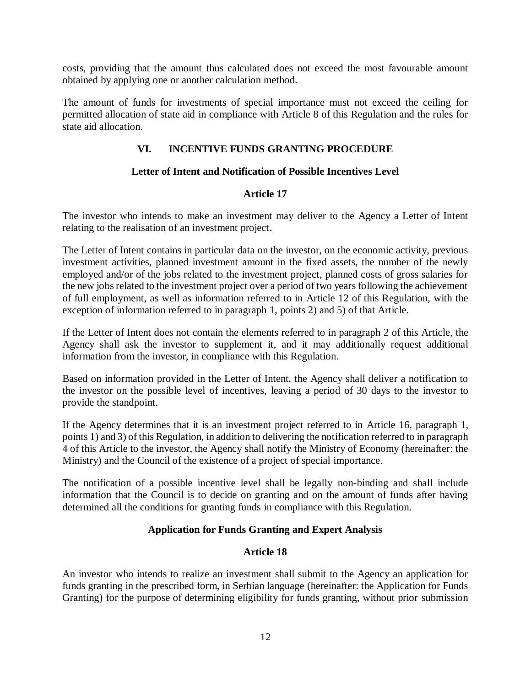costs, providing that the amount thus calculated does not exceed the most favourable amount obtained by applying one or another calculation method.

The amount of funds for investments of special importance must not exceed the ceiling for permitted allocation of state aid in compliance with Article 8 of this Regulation and the rules for state aid allocation.

# **VI. INCENTIVE FUNDS GRANTING PROCEDURE**

# **Letter of Intent and Notification of Possible Incentives Level**

# **Article 17**

The investor who intends to make an investment may deliver to the Agency a Letter of Intent relating to the realisation of an investment project.

The Letter of Intent contains in particular data on the investor, on the economic activity, previous investment activities, planned investment amount in the fixed assets, the number of the newly employed and/or of the jobs related to the investment project, planned costs of gross salaries for the new jobs related to the investment project over a period of two years following the achievement of full employment, as well as information referred to in Article 12 of this Regulation, with the exception of information referred to in paragraph 1, points 2) and 5) of that Article.

If the Letter of Intent does not contain the elements referred to in paragraph 2 of this Article, the Agency shall ask the investor to supplement it, and it may additionally request additional information from the investor, in compliance with this Regulation.

Based on information provided in the Letter of Intent, the Agency shall deliver a notification to the investor on the possible level of incentives, leaving a period of 30 days to the investor to provide the standpoint.

If the Agency determines that it is an investment project referred to in Article 16, paragraph 1, points 1) and 3) of this Regulation, in addition to delivering the notification referred to in paragraph 4 of this Article to the investor, the Agency shall notify the Ministry of Economy (hereinafter: the Ministry) and the Council of the existence of a project of special importance.

The notification of a possible incentive level shall be legally non-binding and shall include information that the Council is to decide on granting and on the amount of funds after having determined all the conditions for granting funds in compliance with this Regulation.

# **Application for Funds Granting and Expert Analysis**

# **Article 18**

An investor who intends to realize an investment shall submit to the Agency an application for funds granting in the prescribed form, in Serbian language (hereinafter: the Application for Funds Granting) for the purpose of determining eligibility for funds granting, without prior submission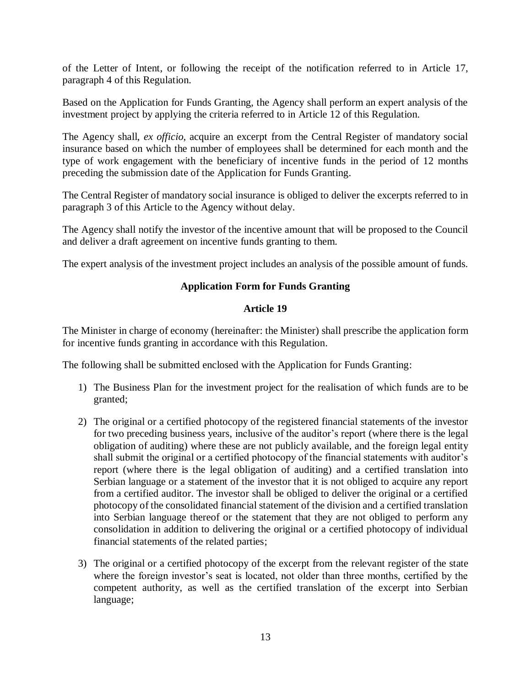of the Letter of Intent, or following the receipt of the notification referred to in Article 17, paragraph 4 of this Regulation.

Based on the Application for Funds Granting, the Agency shall perform an expert analysis of the investment project by applying the criteria referred to in Article 12 of this Regulation.

The Agency shall, *ex officio*, acquire an excerpt from the Central Register of mandatory social insurance based on which the number of employees shall be determined for each month and the type of work engagement with the beneficiary of incentive funds in the period of 12 months preceding the submission date of the Application for Funds Granting.

The Central Register of mandatory social insurance is obliged to deliver the excerpts referred to in paragraph 3 of this Article to the Agency without delay.

The Agency shall notify the investor of the incentive amount that will be proposed to the Council and deliver a draft agreement on incentive funds granting to them.

The expert analysis of the investment project includes an analysis of the possible amount of funds.

# **Application Form for Funds Granting**

## **Article 19**

The Minister in charge of economy (hereinafter: the Minister) shall prescribe the application form for incentive funds granting in accordance with this Regulation.

The following shall be submitted enclosed with the Application for Funds Granting:

- 1) The Business Plan for the investment project for the realisation of which funds are to be granted;
- 2) The original or a certified photocopy of the registered financial statements of the investor for two preceding business years, inclusive of the auditor's report (where there is the legal obligation of auditing) where these are not publicly available, and the foreign legal entity shall submit the original or a certified photocopy of the financial statements with auditor's report (where there is the legal obligation of auditing) and a certified translation into Serbian language or a statement of the investor that it is not obliged to acquire any report from a certified auditor. The investor shall be obliged to deliver the original or a certified photocopy of the consolidated financial statement of the division and a certified translation into Serbian language thereof or the statement that they are not obliged to perform any consolidation in addition to delivering the original or a certified photocopy of individual financial statements of the related parties;
- 3) The original or a certified photocopy of the excerpt from the relevant register of the state where the foreign investor's seat is located, not older than three months, certified by the competent authority, as well as the certified translation of the excerpt into Serbian language;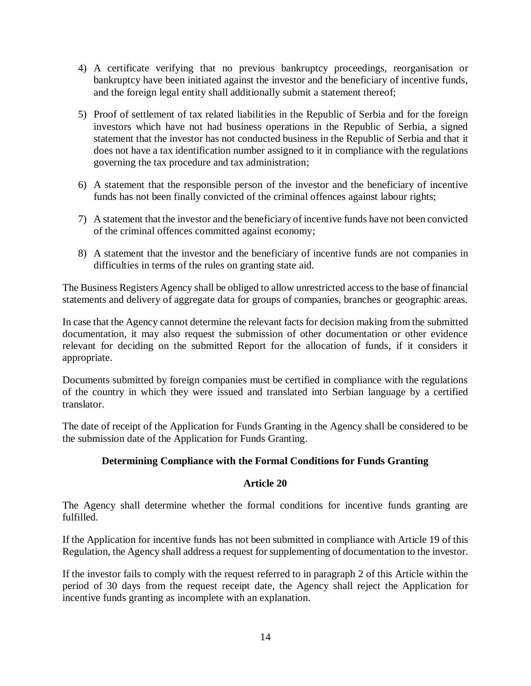- 4) A certificate verifying that no previous bankruptcy proceedings, reorganisation or bankruptcy have been initiated against the investor and the beneficiary of incentive funds, and the foreign legal entity shall additionally submit a statement thereof;
- 5) Proof of settlement of tax related liabilities in the Republic of Serbia and for the foreign investors which have not had business operations in the Republic of Serbia, a signed statement that the investor has not conducted business in the Republic of Serbia and that it does not have a tax identification number assigned to it in compliance with the regulations governing the tax procedure and tax administration;
- 6) A statement that the responsible person of the investor and the beneficiary of incentive funds has not been finally convicted of the criminal offences against labour rights;
- 7) A statement that the investor and the beneficiary of incentive funds have not been convicted of the criminal offences committed against economy;
- 8) A statement that the investor and the beneficiary of incentive funds are not companies in difficulties in terms of the rules on granting state aid.

The Business Registers Agency shall be obliged to allow unrestricted access to the base of financial statements and delivery of aggregate data for groups of companies, branches or geographic areas.

In case that the Agency cannot determine the relevant facts for decision making from the submitted documentation, it may also request the submission of other documentation or other evidence relevant for deciding on the submitted Report for the allocation of funds, if it considers it appropriate.

Documents submitted by foreign companies must be certified in compliance with the regulations of the country in which they were issued and translated into Serbian language by a certified translator.

The date of receipt of the Application for Funds Granting in the Agency shall be considered to be the submission date of the Application for Funds Granting.

# **Determining Compliance with the Formal Conditions for Funds Granting**

## **Article 20**

The Agency shall determine whether the formal conditions for incentive funds granting are fulfilled.

If the Application for incentive funds has not been submitted in compliance with Article 19 of this Regulation, the Agency shall address a request for supplementing of documentation to the investor.

If the investor fails to comply with the request referred to in paragraph 2 of this Article within the period of 30 days from the request receipt date, the Agency shall reject the Application for incentive funds granting as incomplete with an explanation.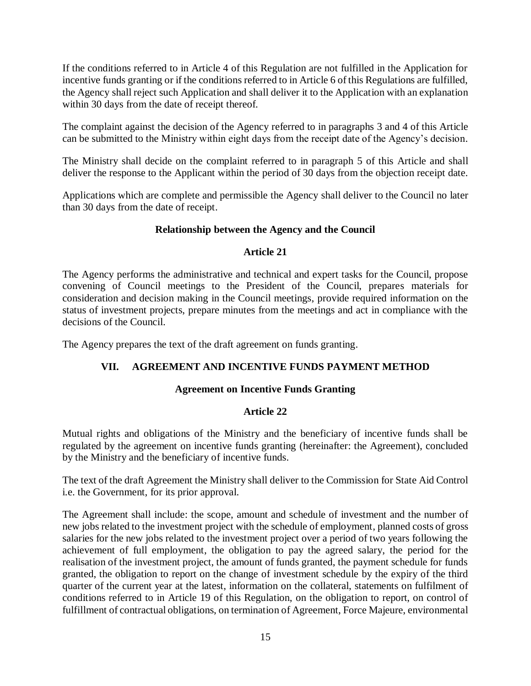If the conditions referred to in Article 4 of this Regulation are not fulfilled in the Application for incentive funds granting or if the conditions referred to in Article 6 of this Regulations are fulfilled, the Agency shall reject such Application and shall deliver it to the Application with an explanation within 30 days from the date of receipt thereof.

The complaint against the decision of the Agency referred to in paragraphs 3 and 4 of this Article can be submitted to the Ministry within eight days from the receipt date of the Agency's decision.

The Ministry shall decide on the complaint referred to in paragraph 5 of this Article and shall deliver the response to the Applicant within the period of 30 days from the objection receipt date.

Applications which are complete and permissible the Agency shall deliver to the Council no later than 30 days from the date of receipt.

# **Relationship between the Agency and the Council**

## **Article 21**

The Agency performs the administrative and technical and expert tasks for the Council, propose convening of Council meetings to the President of the Council, prepares materials for consideration and decision making in the Council meetings, provide required information on the status of investment projects, prepare minutes from the meetings and act in compliance with the decisions of the Council.

The Agency prepares the text of the draft agreement on funds granting.

# **VII. AGREEMENT AND INCENTIVE FUNDS PAYMENT METHOD**

# **Agreement on Incentive Funds Granting**

# **Article 22**

Mutual rights and obligations of the Ministry and the beneficiary of incentive funds shall be regulated by the agreement on incentive funds granting (hereinafter: the Agreement), concluded by the Ministry and the beneficiary of incentive funds.

The text of the draft Agreement the Ministry shall deliver to the Commission for State Aid Control i.e. the Government, for its prior approval.

The Agreement shall include: the scope, amount and schedule of investment and the number of new jobs related to the investment project with the schedule of employment, planned costs of gross salaries for the new jobs related to the investment project over a period of two years following the achievement of full employment, the obligation to pay the agreed salary, the period for the realisation of the investment project, the amount of funds granted, the payment schedule for funds granted, the obligation to report on the change of investment schedule by the expiry of the third quarter of the current year at the latest, information on the collateral, statements on fulfilment of conditions referred to in Article 19 of this Regulation, on the obligation to report, on control of fulfillment of contractual obligations, on termination of Agreement, Force Majeure, environmental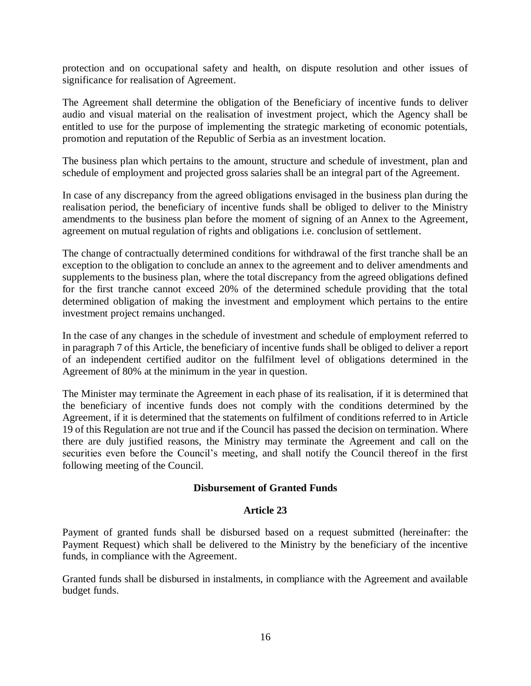protection and on occupational safety and health, on dispute resolution and other issues of significance for realisation of Agreement.

The Agreement shall determine the obligation of the Beneficiary of incentive funds to deliver audio and visual material on the realisation of investment project, which the Agency shall be entitled to use for the purpose of implementing the strategic marketing of economic potentials, promotion and reputation of the Republic of Serbia as an investment location.

The business plan which pertains to the amount, structure and schedule of investment, plan and schedule of employment and projected gross salaries shall be an integral part of the Agreement.

In case of any discrepancy from the agreed obligations envisaged in the business plan during the realisation period, the beneficiary of incentive funds shall be obliged to deliver to the Ministry amendments to the business plan before the moment of signing of an Annex to the Agreement, agreement on mutual regulation of rights and obligations i.e. conclusion of settlement.

The change of contractually determined conditions for withdrawal of the first tranche shall be an exception to the obligation to conclude an annex to the agreement and to deliver amendments and supplements to the business plan, where the total discrepancy from the agreed obligations defined for the first tranche cannot exceed 20% of the determined schedule providing that the total determined obligation of making the investment and employment which pertains to the entire investment project remains unchanged.

In the case of any changes in the schedule of investment and schedule of employment referred to in paragraph 7 of this Article, the beneficiary of incentive funds shall be obliged to deliver a report of an independent certified auditor on the fulfilment level of obligations determined in the Agreement of 80% at the minimum in the year in question.

The Minister may terminate the Agreement in each phase of its realisation, if it is determined that the beneficiary of incentive funds does not comply with the conditions determined by the Agreement, if it is determined that the statements on fulfilment of conditions referred to in Article 19 of this Regulation are not true and if the Council has passed the decision on termination. Where there are duly justified reasons, the Ministry may terminate the Agreement and call on the securities even before the Council's meeting, and shall notify the Council thereof in the first following meeting of the Council.

## **Disbursement of Granted Funds**

#### **Article 23**

Payment of granted funds shall be disbursed based on a request submitted (hereinafter: the Payment Request) which shall be delivered to the Ministry by the beneficiary of the incentive funds, in compliance with the Agreement.

Granted funds shall be disbursed in instalments, in compliance with the Agreement and available budget funds.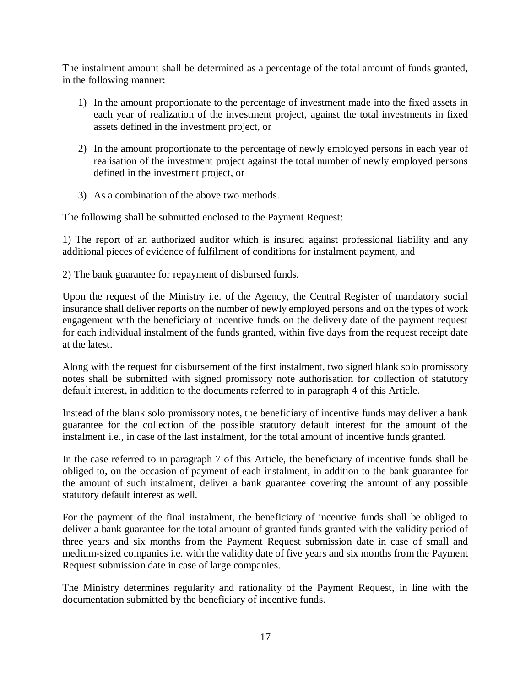The instalment amount shall be determined as a percentage of the total amount of funds granted, in the following manner:

- 1) In the amount proportionate to the percentage of investment made into the fixed assets in each year of realization of the investment project, against the total investments in fixed assets defined in the investment project, or
- 2) In the amount proportionate to the percentage of newly employed persons in each year of realisation of the investment project against the total number of newly employed persons defined in the investment project, or
- 3) As a combination of the above two methods.

The following shall be submitted enclosed to the Payment Request:

1) The report of an authorized auditor which is insured against professional liability and any additional pieces of evidence of fulfilment of conditions for instalment payment, and

2) The bank guarantee for repayment of disbursed funds.

Upon the request of the Ministry i.e. of the Agency, the Central Register of mandatory social insurance shall deliver reports on the number of newly employed persons and on the types of work engagement with the beneficiary of incentive funds on the delivery date of the payment request for each individual instalment of the funds granted, within five days from the request receipt date at the latest.

Along with the request for disbursement of the first instalment, two signed blank solo promissory notes shall be submitted with signed promissory note authorisation for collection of statutory default interest, in addition to the documents referred to in paragraph 4 of this Article.

Instead of the blank solo promissory notes, the beneficiary of incentive funds may deliver a bank guarantee for the collection of the possible statutory default interest for the amount of the instalment i.e., in case of the last instalment, for the total amount of incentive funds granted.

In the case referred to in paragraph 7 of this Article, the beneficiary of incentive funds shall be obliged to, on the occasion of payment of each instalment, in addition to the bank guarantee for the amount of such instalment, deliver a bank guarantee covering the amount of any possible statutory default interest as well.

For the payment of the final instalment, the beneficiary of incentive funds shall be obliged to deliver a bank guarantee for the total amount of granted funds granted with the validity period of three years and six months from the Payment Request submission date in case of small and medium-sized companies i.e. with the validity date of five years and six months from the Payment Request submission date in case of large companies.

The Ministry determines regularity and rationality of the Payment Request, in line with the documentation submitted by the beneficiary of incentive funds.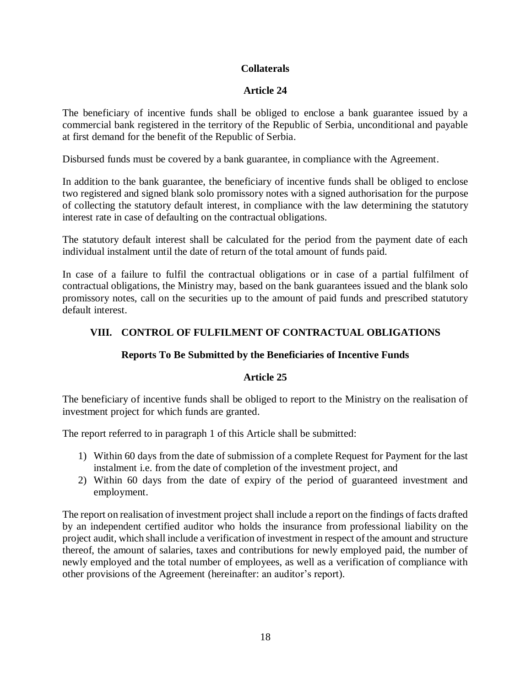# **Collaterals**

# **Article 24**

The beneficiary of incentive funds shall be obliged to enclose a bank guarantee issued by a commercial bank registered in the territory of the Republic of Serbia, unconditional and payable at first demand for the benefit of the Republic of Serbia.

Disbursed funds must be covered by a bank guarantee, in compliance with the Agreement.

In addition to the bank guarantee, the beneficiary of incentive funds shall be obliged to enclose two registered and signed blank solo promissory notes with a signed authorisation for the purpose of collecting the statutory default interest, in compliance with the law determining the statutory interest rate in case of defaulting on the contractual obligations.

The statutory default interest shall be calculated for the period from the payment date of each individual instalment until the date of return of the total amount of funds paid.

In case of a failure to fulfil the contractual obligations or in case of a partial fulfilment of contractual obligations, the Ministry may, based on the bank guarantees issued and the blank solo promissory notes, call on the securities up to the amount of paid funds and prescribed statutory default interest.

# **VIII. CONTROL OF FULFILMENT OF CONTRACTUAL OBLIGATIONS**

# **Reports To Be Submitted by the Beneficiaries of Incentive Funds**

# **Article 25**

The beneficiary of incentive funds shall be obliged to report to the Ministry on the realisation of investment project for which funds are granted.

The report referred to in paragraph 1 of this Article shall be submitted:

- 1) Within 60 days from the date of submission of a complete Request for Payment for the last instalment i.e. from the date of completion of the investment project, and
- 2) Within 60 days from the date of expiry of the period of guaranteed investment and employment.

The report on realisation of investment project shall include a report on the findings of facts drafted by an independent certified auditor who holds the insurance from professional liability on the project audit, which shall include a verification of investment in respect of the amount and structure thereof, the amount of salaries, taxes and contributions for newly employed paid, the number of newly employed and the total number of employees, as well as a verification of compliance with other provisions of the Agreement (hereinafter: an auditor's report).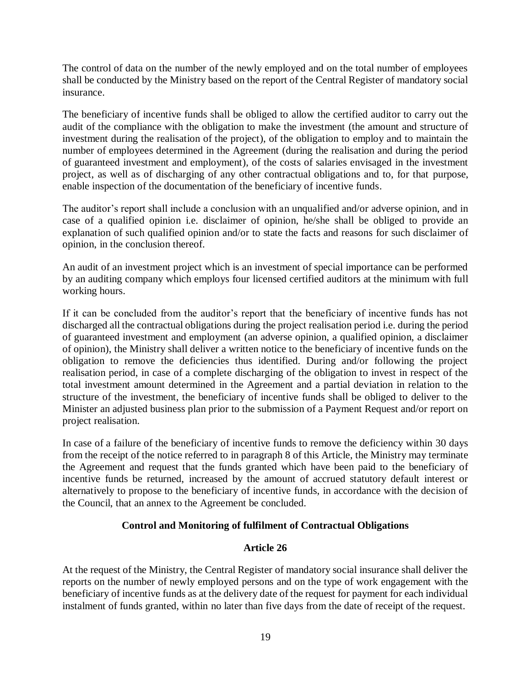The control of data on the number of the newly employed and on the total number of employees shall be conducted by the Ministry based on the report of the Central Register of mandatory social insurance.

The beneficiary of incentive funds shall be obliged to allow the certified auditor to carry out the audit of the compliance with the obligation to make the investment (the amount and structure of investment during the realisation of the project), of the obligation to employ and to maintain the number of employees determined in the Agreement (during the realisation and during the period of guaranteed investment and employment), of the costs of salaries envisaged in the investment project, as well as of discharging of any other contractual obligations and to, for that purpose, enable inspection of the documentation of the beneficiary of incentive funds.

The auditor's report shall include a conclusion with an unqualified and/or adverse opinion, and in case of a qualified opinion i.e. disclaimer of opinion, he/she shall be obliged to provide an explanation of such qualified opinion and/or to state the facts and reasons for such disclaimer of opinion, in the conclusion thereof.

An audit of an investment project which is an investment of special importance can be performed by an auditing company which employs four licensed certified auditors at the minimum with full working hours.

If it can be concluded from the auditor's report that the beneficiary of incentive funds has not discharged all the contractual obligations during the project realisation period i.e. during the period of guaranteed investment and employment (an adverse opinion, a qualified opinion, a disclaimer of opinion), the Ministry shall deliver a written notice to the beneficiary of incentive funds on the obligation to remove the deficiencies thus identified. During and/or following the project realisation period, in case of a complete discharging of the obligation to invest in respect of the total investment amount determined in the Agreement and a partial deviation in relation to the structure of the investment, the beneficiary of incentive funds shall be obliged to deliver to the Minister an adjusted business plan prior to the submission of a Payment Request and/or report on project realisation.

In case of a failure of the beneficiary of incentive funds to remove the deficiency within 30 days from the receipt of the notice referred to in paragraph 8 of this Article, the Ministry may terminate the Agreement and request that the funds granted which have been paid to the beneficiary of incentive funds be returned, increased by the amount of accrued statutory default interest or alternatively to propose to the beneficiary of incentive funds, in accordance with the decision of the Council, that an annex to the Agreement be concluded.

# **Control and Monitoring of fulfilment of Contractual Obligations**

# **Article 26**

At the request of the Ministry, the Central Register of mandatory social insurance shall deliver the reports on the number of newly employed persons and on the type of work engagement with the beneficiary of incentive funds as at the delivery date of the request for payment for each individual instalment of funds granted, within no later than five days from the date of receipt of the request.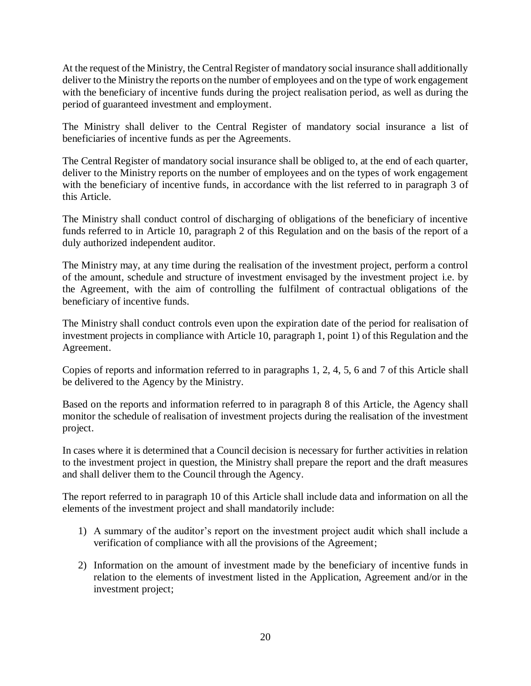At the request of the Ministry, the Central Register of mandatory social insurance shall additionally deliver to the Ministry the reports on the number of employees and on the type of work engagement with the beneficiary of incentive funds during the project realisation period, as well as during the period of guaranteed investment and employment.

The Ministry shall deliver to the Central Register of mandatory social insurance a list of beneficiaries of incentive funds as per the Agreements.

The Central Register of mandatory social insurance shall be obliged to, at the end of each quarter, deliver to the Ministry reports on the number of employees and on the types of work engagement with the beneficiary of incentive funds, in accordance with the list referred to in paragraph 3 of this Article.

The Ministry shall conduct control of discharging of obligations of the beneficiary of incentive funds referred to in Article 10, paragraph 2 of this Regulation and on the basis of the report of a duly authorized independent auditor.

The Ministry may, at any time during the realisation of the investment project, perform a control of the amount, schedule and structure of investment envisaged by the investment project i.e. by the Agreement, with the aim of controlling the fulfilment of contractual obligations of the beneficiary of incentive funds.

The Ministry shall conduct controls even upon the expiration date of the period for realisation of investment projects in compliance with Article 10, paragraph 1, point 1) of this Regulation and the Agreement.

Copies of reports and information referred to in paragraphs 1, 2, 4, 5, 6 and 7 of this Article shall be delivered to the Agency by the Ministry.

Based on the reports and information referred to in paragraph 8 of this Article, the Agency shall monitor the schedule of realisation of investment projects during the realisation of the investment project.

In cases where it is determined that a Council decision is necessary for further activities in relation to the investment project in question, the Ministry shall prepare the report and the draft measures and shall deliver them to the Council through the Agency.

The report referred to in paragraph 10 of this Article shall include data and information on all the elements of the investment project and shall mandatorily include:

- 1) A summary of the auditor's report on the investment project audit which shall include a verification of compliance with all the provisions of the Agreement;
- 2) Information on the amount of investment made by the beneficiary of incentive funds in relation to the elements of investment listed in the Application, Agreement and/or in the investment project;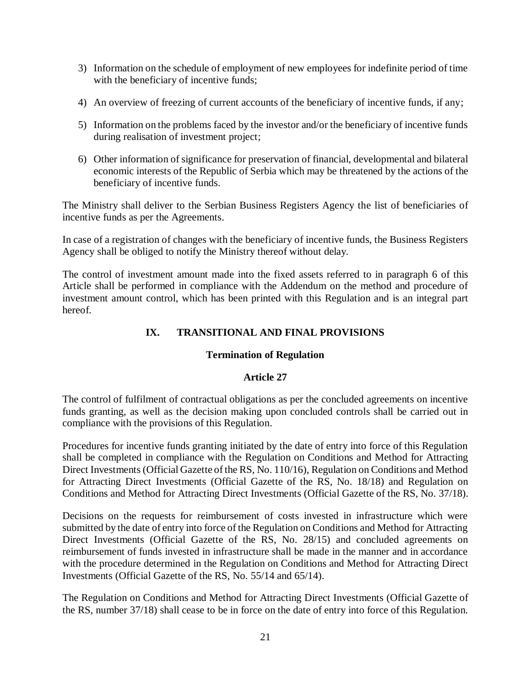- 3) Information on the schedule of employment of new employees for indefinite period of time with the beneficiary of incentive funds;
- 4) An overview of freezing of current accounts of the beneficiary of incentive funds, if any;
- 5) Information on the problems faced by the investor and/or the beneficiary of incentive funds during realisation of investment project;
- 6) Other information of significance for preservation of financial, developmental and bilateral economic interests of the Republic of Serbia which may be threatened by the actions of the beneficiary of incentive funds.

The Ministry shall deliver to the Serbian Business Registers Agency the list of beneficiaries of incentive funds as per the Agreements.

In case of a registration of changes with the beneficiary of incentive funds, the Business Registers Agency shall be obliged to notify the Ministry thereof without delay.

The control of investment amount made into the fixed assets referred to in paragraph 6 of this Article shall be performed in compliance with the Addendum on the method and procedure of investment amount control, which has been printed with this Regulation and is an integral part hereof.

# **IX. TRANSITIONAL AND FINAL PROVISIONS**

# **Termination of Regulation**

# **Article 27**

The control of fulfilment of contractual obligations as per the concluded agreements on incentive funds granting, as well as the decision making upon concluded controls shall be carried out in compliance with the provisions of this Regulation.

Procedures for incentive funds granting initiated by the date of entry into force of this Regulation shall be completed in compliance with the Regulation on Conditions and Method for Attracting Direct Investments (Official Gazette of the RS, No. 110/16), Regulation on Conditions and Method for Attracting Direct Investments (Official Gazette of the RS, No. 18/18) and Regulation on Conditions and Method for Attracting Direct Investments (Official Gazette of the RS, No. 37/18).

Decisions on the requests for reimbursement of costs invested in infrastructure which were submitted by the date of entry into force of the Regulation on Conditions and Method for Attracting Direct Investments (Official Gazette of the RS, No. 28/15) and concluded agreements on reimbursement of funds invested in infrastructure shall be made in the manner and in accordance with the procedure determined in the Regulation on Conditions and Method for Attracting Direct Investments (Official Gazette of the RS, No. 55/14 and 65/14).

The Regulation on Conditions and Method for Attracting Direct Investments (Official Gazette of the RS, number 37/18) shall cease to be in force on the date of entry into force of this Regulation.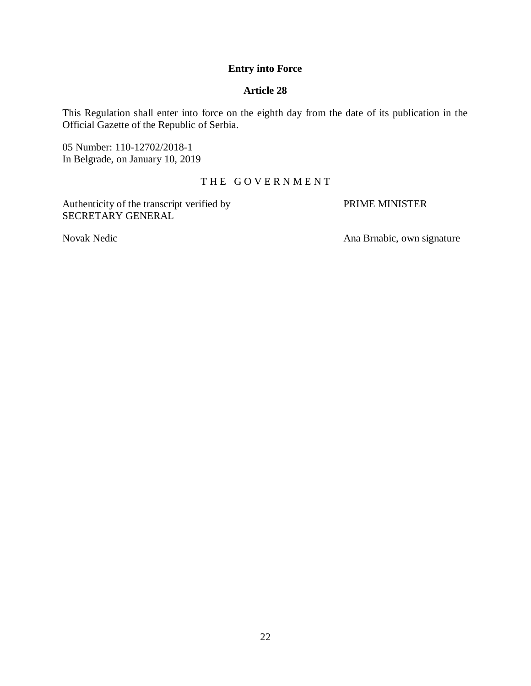## **Entry into Force**

## **Article 28**

This Regulation shall enter into force on the eighth day from the date of its publication in the Official Gazette of the Republic of Serbia.

05 Number: 110-12702/2018-1 In Belgrade, on January 10, 2019

## THE GOVERNMENT

Authenticity of the transcript verified by PRIME MINISTER SECRETARY GENERAL

Novak Nedic **Ana Brnabic**, own signature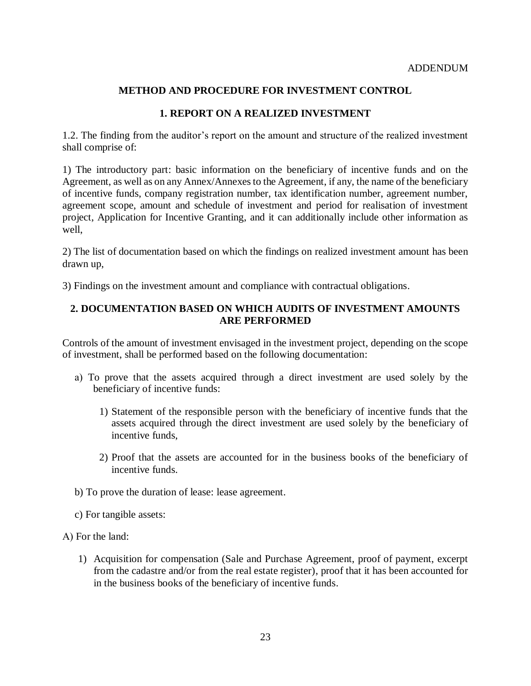## **METHOD AND PROCEDURE FOR INVESTMENT CONTROL**

## **1. REPORT ON A REALIZED INVESTMENT**

1.2. The finding from the auditor's report on the amount and structure of the realized investment shall comprise of:

1) The introductory part: basic information on the beneficiary of incentive funds and on the Agreement, as well as on any Annex/Annexes to the Agreement, if any, the name of the beneficiary of incentive funds, company registration number, tax identification number, agreement number, agreement scope, amount and schedule of investment and period for realisation of investment project, Application for Incentive Granting, and it can additionally include other information as well,

2) The list of documentation based on which the findings on realized investment amount has been drawn up,

3) Findings on the investment amount and compliance with contractual obligations.

## **2. DOCUMENTATION BASED ON WHICH AUDITS OF INVESTMENT AMOUNTS ARE PERFORMED**

Controls of the amount of investment envisaged in the investment project, depending on the scope of investment, shall be performed based on the following documentation:

- а) To prove that the assets acquired through a direct investment are used solely by the beneficiary of incentive funds:
	- 1) Statement of the responsible person with the beneficiary of incentive funds that the assets acquired through the direct investment are used solely by the beneficiary of incentive funds,
	- 2) Proof that the assets are accounted for in the business books of the beneficiary of incentive funds.
- b) To prove the duration of lease: lease agreement.
- c) For tangible assets:

А) For the land:

1) Acquisition for compensation (Sale and Purchase Agreement, proof of payment, excerpt from the cadastre and/or from the real estate register), proof that it has been accounted for in the business books of the beneficiary of incentive funds.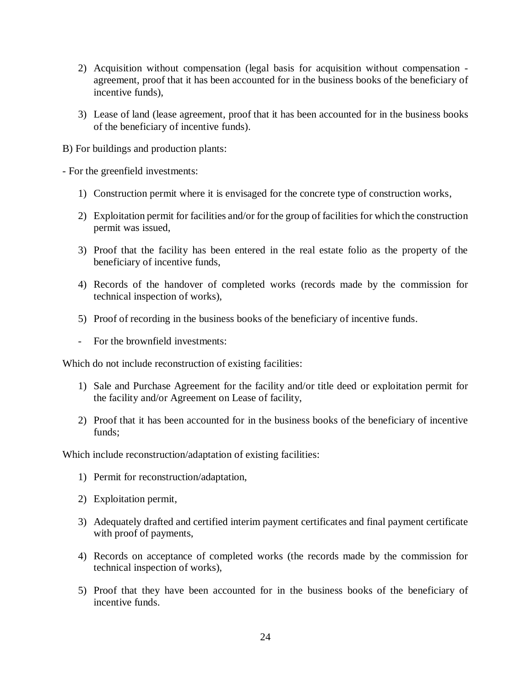- 2) Acquisition without compensation (legal basis for acquisition without compensation agreement, proof that it has been accounted for in the business books of the beneficiary of incentive funds),
- 3) Lease of land (lease agreement, proof that it has been accounted for in the business books of the beneficiary of incentive funds).

B) For buildings and production plants:

- For the greenfield investments:

- 1) Construction permit where it is envisaged for the concrete type of construction works,
- 2) Exploitation permit for facilities and/or for the group of facilities for which the construction permit was issued,
- 3) Proof that the facility has been entered in the real estate folio as the property of the beneficiary of incentive funds,
- 4) Records of the handover of completed works (records made by the commission for technical inspection of works),
- 5) Proof of recording in the business books of the beneficiary of incentive funds.
- For the brownfield investments:

Which do not include reconstruction of existing facilities:

- 1) Sale and Purchase Agreement for the facility and/or title deed or exploitation permit for the facility and/or Agreement on Lease of facility,
- 2) Proof that it has been accounted for in the business books of the beneficiary of incentive funds;

Which include reconstruction/adaptation of existing facilities:

- 1) Permit for reconstruction/adaptation,
- 2) Exploitation permit,
- 3) Adequately drafted and certified interim payment certificates and final payment certificate with proof of payments,
- 4) Records on acceptance of completed works (the records made by the commission for technical inspection of works),
- 5) Proof that they have been accounted for in the business books of the beneficiary of incentive funds.